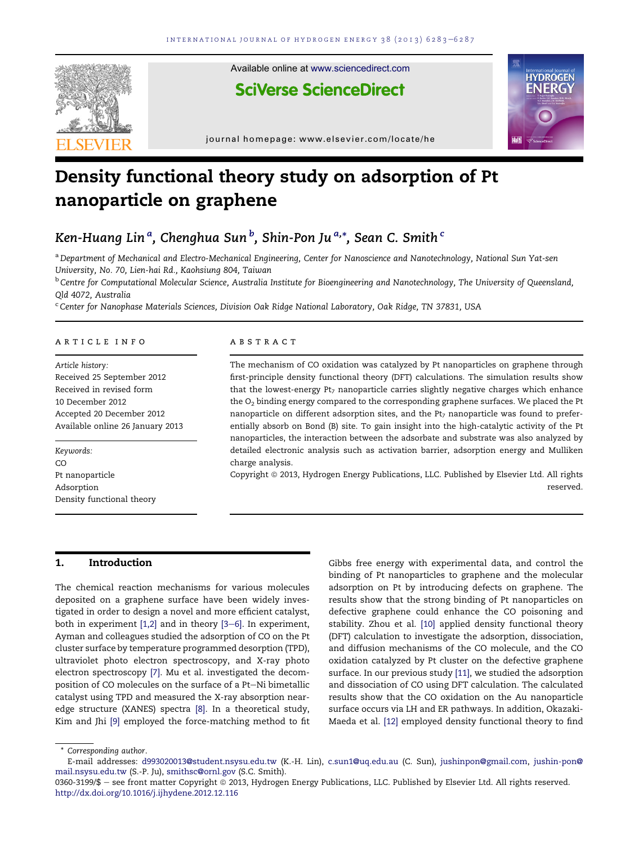

# Density functional theory study on adsorption of Pt nanoparticle on graphene

# Ken-Huang Lin  ${}^{a}$ , Chenghua Sun  ${}^{b}$ , Shin-Pon Ju  ${}^{a, \ast}$ , Sean C. Smith  ${}^c$

a Department of Mechanical and Electro-Mechanical Engineering, Center for Nanoscience and Nanotechnology, National Sun Yat-sen University, No. 70, Lien-hai Rd., Kaohsiung 804, Taiwan

<sup>b</sup> Centre for Computational Molecular Science, Australia Institute for Bioengineering and Nanotechnology, The University of Queensland, Qld 4072, Australia

<sup>c</sup> Center for Nanophase Materials Sciences, Division Oak Ridge National Laboratory, Oak Ridge, TN 37831, USA

#### article info

Article history: Received 25 September 2012 Received in revised form 10 December 2012 Accepted 20 December 2012 Available online 26 January 2013

Keywords: CO Pt nanoparticle Adsorption Density functional theory

#### **ABSTRACT**

The mechanism of CO oxidation was catalyzed by Pt nanoparticles on graphene through first-principle density functional theory (DFT) calculations. The simulation results show that the lowest-energy Pt<sub>7</sub> nanoparticle carries slightly negative charges which enhance the  $O_2$  binding energy compared to the corresponding graphene surfaces. We placed the Pt nanoparticle on different adsorption sites, and the  $Pt<sub>7</sub>$  nanoparticle was found to preferentially absorb on Bond (B) site. To gain insight into the high-catalytic activity of the Pt nanoparticles, the interaction between the adsorbate and substrate was also analyzed by detailed electronic analysis such as activation barrier, adsorption energy and Mulliken charge analysis.

Copyright ª 2013, Hydrogen Energy Publications, LLC. Published by Elsevier Ltd. All rights reserved.

# 1. Introduction

The chemical reaction mechanisms for various molecules deposited on a graphene surface have been widely investigated in order to design a novel and more efficient catalyst, both in experiment  $[1,2]$  and in theory  $[3-6]$  $[3-6]$  $[3-6]$ . In experiment, Ayman and colleagues studied the adsorption of CO on the Pt cluster surface by temperature programmed desorption (TPD), ultraviolet photo electron spectroscopy, and X-ray photo electron spectroscopy [\[7\].](#page-4-0) Mu et al. investigated the decomposition of CO molecules on the surface of a Pt-Ni bimetallic catalyst using TPD and measured the X-ray absorption nearedge structure (XANES) spectra [\[8\].](#page-4-0) In a theoretical study, Kim and Jhi [\[9\]](#page-4-0) employed the force-matching method to fit

Gibbs free energy with experimental data, and control the binding of Pt nanoparticles to graphene and the molecular adsorption on Pt by introducing defects on graphene. The results show that the strong binding of Pt nanoparticles on defective graphene could enhance the CO poisoning and stability. Zhou et al. [\[10\]](#page-4-0) applied density functional theory (DFT) calculation to investigate the adsorption, dissociation, and diffusion mechanisms of the CO molecule, and the CO oxidation catalyzed by Pt cluster on the defective graphene surface. In our previous study [\[11\]](#page-4-0), we studied the adsorption and dissociation of CO using DFT calculation. The calculated results show that the CO oxidation on the Au nanoparticle surface occurs via LH and ER pathways. In addition, Okazaki-Maeda et al. [\[12\]](#page-4-0) employed density functional theory to find

<sup>\*</sup> Corresponding author.

E-mail addresses: [d993020013@student.nsysu.edu.tw](mailto:d993020013@student.nsysu.edu.tw) (K.-H. Lin), [c.sun1@uq.edu.au](mailto:c.sun1@uq.edu.au) (C. Sun), [jushinpon@gmail.com,](mailto:jushinpon@gmail.com) [jushin-pon@](mailto:jushin-pon@mail.nsysu.edu.tw) [mail.nsysu.edu.tw](mailto:jushin-pon@mail.nsysu.edu.tw) (S.-P. Ju), [smithsc@ornl.gov](mailto:smithsc@ornl.gov) (S.C. Smith).

<sup>0360-3199/\$ -</sup> see front matter Copyright @ 2013, Hydrogen Energy Publications, LLC. Published by Elsevier Ltd. All rights reserved. <http://dx.doi.org/10.1016/j.ijhydene.2012.12.116>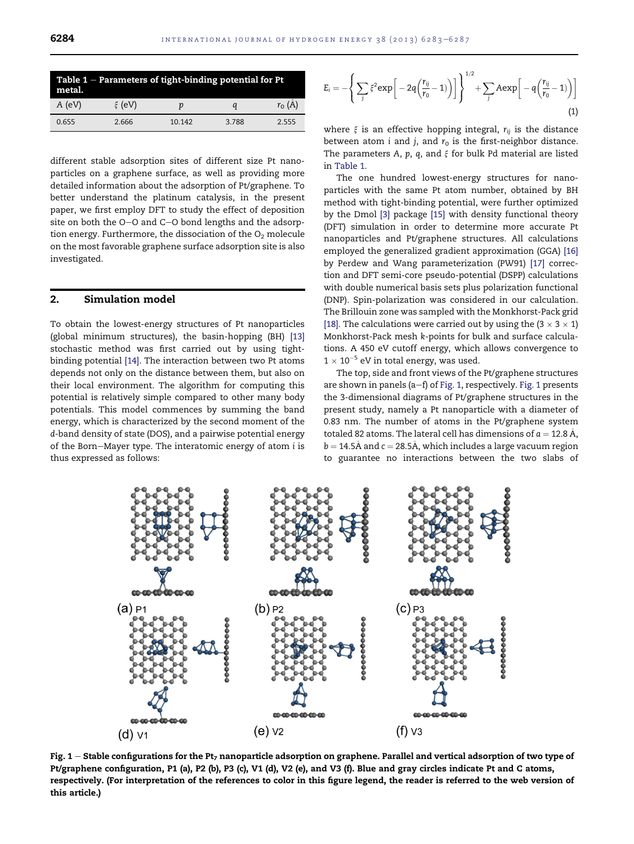<span id="page-1-0"></span>

| Table $1$ – Parameters of tight-binding potential for Pt<br>metal. |              |        |       |          |  |  |  |  |
|--------------------------------------------------------------------|--------------|--------|-------|----------|--|--|--|--|
| $A$ (eV)                                                           | $\zeta$ (eV) | р      | a     | $r_0(A)$ |  |  |  |  |
| 0.655                                                              | 2.666        | 10 142 | 3.788 | 2.555    |  |  |  |  |

different stable adsorption sites of different size Pt nanoparticles on a graphene surface, as well as providing more detailed information about the adsorption of Pt/graphene. To better understand the platinum catalysis, in the present paper, we first employ DFT to study the effect of deposition site on both the  $O-O$  and  $C-O$  bond lengths and the adsorption energy. Furthermore, the dissociation of the  $O<sub>2</sub>$  molecule on the most favorable graphene surface adsorption site is also investigated.

# 2. Simulation model

To obtain the lowest-energy structures of Pt nanoparticles (global minimum structures), the basin-hopping (BH) [\[13\]](#page-4-0) stochastic method was first carried out by using tightbinding potential [\[14\].](#page-4-0) The interaction between two Pt atoms depends not only on the distance between them, but also on their local environment. The algorithm for computing this potential is relatively simple compared to other many body potentials. This model commences by summing the band energy, which is characterized by the second moment of the d-band density of state (DOS), and a pairwise potential energy of the Born-Mayer type. The interatomic energy of atom i is thus expressed as follows:

$$
E_i = -\left\{\sum_j \xi^2 \exp\bigg[-2q\bigg(\frac{r_{ij}}{r_0} - 1\bigg)\bigg]\right\}^{1/2} + \sum_j A \exp\bigg[-q\bigg(\frac{r_{ij}}{r_0} - 1\bigg)\bigg]
$$
\n(1)

where  $\xi$  is an effective hopping integral,  $r_{ii}$  is the distance between atom  $i$  and  $j$ , and  $r_0$  is the first-neighbor distance. The parameters A,  $p$ ,  $q$ , and  $\xi$  for bulk Pd material are listed in Table 1.

The one hundred lowest-energy structures for nanoparticles with the same Pt atom number, obtained by BH method with tight-binding potential, were further optimized by the Dmol [\[3\]](#page-4-0) package [\[15\]](#page-4-0) with density functional theory (DFT) simulation in order to determine more accurate Pt nanoparticles and Pt/graphene structures. All calculations employed the generalized gradient approximation (GGA) [\[16\]](#page-4-0) by Perdew and Wang parameterization (PW91) [\[17\]](#page-4-0) correction and DFT semi-core pseudo-potential (DSPP) calculations with double numerical basis sets plus polarization functional (DNP). Spin-polarization was considered in our calculation. The Brillouin zone was sampled with the Monkhorst-Pack grid [\[18\]](#page-4-0). The calculations were carried out by using the  $(3 \times 3 \times 1)$ Monkhorst-Pack mesh k-points for bulk and surface calculations. A 450 eV cutoff energy, which allows convergence to  $1 \times 10^{-5}$  eV in total energy, was used.

The top, side and front views of the Pt/graphene structures are shown in panels (a–f) of Fig. 1, respectively. Fig. 1 presents the 3-dimensional diagrams of Pt/graphene structures in the present study, namely a Pt nanoparticle with a diameter of 0.83 nm. The number of atoms in the Pt/graphene system totaled 82 atoms. The lateral cell has dimensions of  $a = 12.8 \text{ Å}$ ,  $b = 14.5\text{\AA}$  and  $c = 28.5\text{\AA}$ , which includes a large vacuum region to guarantee no interactions between the two slabs of



Fig.  $1$  – Stable configurations for the Pt<sub>7</sub> nanoparticle adsorption on graphene. Parallel and vertical adsorption of two type of Pt/graphene configuration, P1 (a), P2 (b), P3 (c), V1 (d), V2 (e), and V3 (f). Blue and gray circles indicate Pt and C atoms, respectively. (For interpretation of the references to color in this figure legend, the reader is referred to the web version of this article.)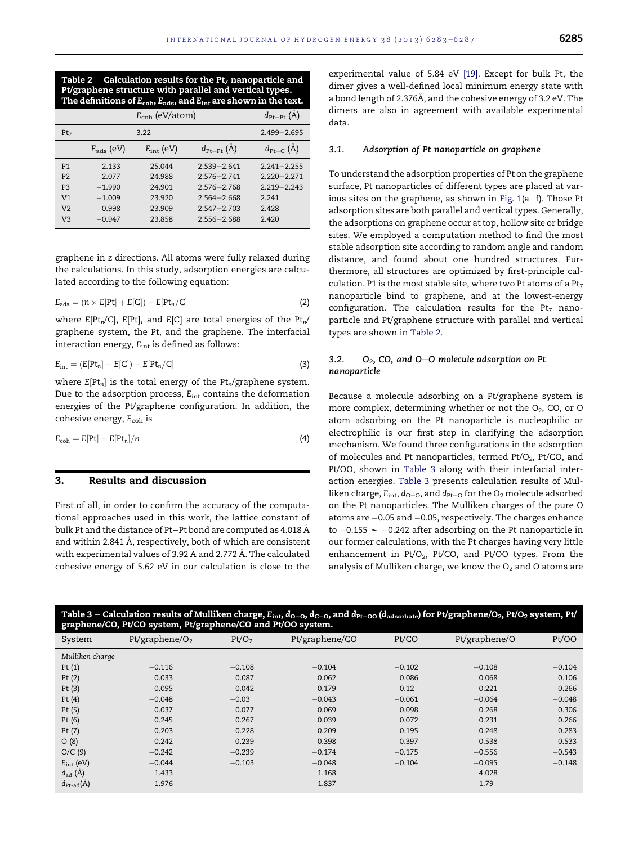<span id="page-2-0"></span>Table 2 – Calculation results for the Pt<sub>7</sub> nanoparticle and Pt/graphene structure with parallel and vertical types. The definitions of  $E_{coh}$ ,  $E_{ads}$ , and  $E_{int}$  are shown in the text.

|                 | $d_{\text{Pt-Pt}}(A)$ |                    |                             |                              |
|-----------------|-----------------------|--------------------|-----------------------------|------------------------------|
| Pt <sub>7</sub> |                       | $2.499 - 2.695$    |                             |                              |
|                 | $E_{ads}$ (eV)        | $E_{\rm int}$ (eV) | $d_{\text{Pt-Pt}}(\hat{A})$ | $d_{\text{Pt}-\text{C}}$ (A) |
| P <sub>1</sub>  | $-2.133$              | 25.044             | $2539 - 2641$               | $2.241 - 2.255$              |
| P <sub>2</sub>  | $-2.077$              | 24.988             | $2576 - 2741$               | $2220 - 2271$                |
| P <sub>3</sub>  | $-1.990$              | 24.901             | $2576 - 2768$               | $2.219 - 2.243$              |
| V <sub>1</sub>  | $-1.009$              | 23.920             | $2.564 - 2.668$             | 2 2 4 1                      |
| V <sub>2</sub>  | $-0.998$              | 23.909             | $2547 - 2703$               | 2428                         |
| V <sub>3</sub>  | $-0.947$              | 23.858             | $2.556 - 2.688$             | 2.420                        |

graphene in z directions. All atoms were fully relaxed during the calculations. In this study, adsorption energies are calculated according to the following equation:

$$
E_{ads} = (n \times E[Pt] + E[C]) - E[Pt_n/C]
$$
\n(2)

where  $E[Pt_n/C]$ ,  $E[Pt]$ , and  $E[C]$  are total energies of the  $Pt_n/C$ graphene system, the Pt, and the graphene. The interfacial interaction energy,  $E_{int}$  is defined as follows:

$$
E_{\rm int} = (E[Pt_n] + E[C]) - E[Pt_n/C]
$$
\n(3)

where  $E[Pt_n]$  is the total energy of the  $Pt_n$ /graphene system. Due to the adsorption process, E<sub>int</sub> contains the deformation energies of the Pt/graphene configuration. In addition, the cohesive energy, E<sub>coh</sub> is

$$
E_{\rm coh} = E[Pt] - E[Pt_n]/n \tag{4}
$$

# 3. Results and discussion

First of all, in order to confirm the accuracy of the computational approaches used in this work, the lattice constant of bulk Pt and the distance of Pt-Pt bond are computed as 4.018 Å and within 2.841 Å, respectively, both of which are consistent with experimental values of 3.92 Å and 2.772 Å. The calculated cohesive energy of 5.62 eV in our calculation is close to the

experimental value of 5.84 eV [\[19\]](#page-4-0). Except for bulk Pt, the dimer gives a well-defined local minimum energy state with a bond length of 2.376A, and the cohesive energy of 3.2 eV. The dimers are also in agreement with available experimental data.

#### 3.1. Adsorption of Pt nanoparticle on graphene

To understand the adsorption properties of Pt on the graphene surface, Pt nanoparticles of different types are placed at various sites on the graphene, as shown in Fig.  $1(a-f)$ . Those Pt adsorption sites are both parallel and vertical types. Generally, the adsorptions on graphene occur at top, hollow site or bridge sites. We employed a computation method to find the most stable adsorption site according to random angle and random distance, and found about one hundred structures. Furthermore, all structures are optimized by first-principle calculation. P1 is the most stable site, where two Pt atoms of a  $Pt<sub>7</sub>$ nanoparticle bind to graphene, and at the lowest-energy configuration. The calculation results for the  $Pt_7$  nanoparticle and Pt/graphene structure with parallel and vertical types are shown in Table 2.

#### 3.2.  $O_2$ , CO, and O-O molecule adsorption on Pt nanoparticle

Because a molecule adsorbing on a Pt/graphene system is more complex, determining whether or not the  $O_2$ , CO, or O atom adsorbing on the Pt nanoparticle is nucleophilic or electrophilic is our first step in clarifying the adsorption mechanism. We found three configurations in the adsorption of molecules and Pt nanoparticles, termed Pt/O<sub>2</sub>, Pt/CO, and Pt/OO, shown in Table 3 along with their interfacial interaction energies. Table 3 presents calculation results of Mulliken charge,  $E_{\text{int}}$ ,  $d_{\text{O}-\text{O}}$ , and  $d_{\text{Pt}-\text{O}}$  for the  $\text{O}_2$  molecule adsorbed on the Pt nanoparticles. The Mulliken charges of the pure O atoms are -0.05 and -0.05, respectively. The charges enhance to  $-0.155$   $\sim$   $-0.242$  after adsorbing on the Pt nanoparticle in our former calculations, with the Pt charges having very little enhancement in  $Pt/O<sub>2</sub>$ ,  $Pt/CO$ , and  $Pt/OO$  types. From the analysis of Mulliken charge, we know the  $O<sub>2</sub>$  and O atoms are

| Table 3 – Calculation results of Mulliken charge, $E_{\rm int}$ , $d_{\rm O-O}$ , $d_{\rm C-O}$ , and $d_{\rm Pt-OO}$ ( $d_{\rm adsorbate}$ ) for Pt/graphene/O <sub>2</sub> , Pt/O <sub>2</sub> system, Pt/<br>graphene/CO, Pt/CO system, Pt/graphene/CO and Pt/OO system. |                   |                   |                |          |               |          |  |  |  |
|-----------------------------------------------------------------------------------------------------------------------------------------------------------------------------------------------------------------------------------------------------------------------------|-------------------|-------------------|----------------|----------|---------------|----------|--|--|--|
| System                                                                                                                                                                                                                                                                      | Pt/graphene/ $O2$ | Pt/O <sub>2</sub> | Pt/graphene/CO | Pt/CO    | Pt/graphene/O | Pt/OO    |  |  |  |
| Mulliken charge                                                                                                                                                                                                                                                             |                   |                   |                |          |               |          |  |  |  |
| Pt $(1)$                                                                                                                                                                                                                                                                    | $-0.116$          | $-0.108$          | $-0.104$       | $-0.102$ | $-0.108$      | $-0.104$ |  |  |  |
| Pt $(2)$                                                                                                                                                                                                                                                                    | 0.033             | 0.087             | 0.062          | 0.086    | 0.068         | 0.106    |  |  |  |
| Pt $(3)$                                                                                                                                                                                                                                                                    | $-0.095$          | $-0.042$          | $-0.179$       | $-0.12$  | 0.221         | 0.266    |  |  |  |
| Pt $(4)$                                                                                                                                                                                                                                                                    | $-0.048$          | $-0.03$           | $-0.043$       | $-0.061$ | $-0.064$      | $-0.048$ |  |  |  |
| Pt $(5)$                                                                                                                                                                                                                                                                    | 0.037             | 0.077             | 0.069          | 0.098    | 0.268         | 0.306    |  |  |  |
| Pt $(6)$                                                                                                                                                                                                                                                                    | 0.245             | 0.267             | 0.039          | 0.072    | 0.231         | 0.266    |  |  |  |
| Pt $(7)$                                                                                                                                                                                                                                                                    | 0.203             | 0.228             | $-0.209$       | $-0.195$ | 0.248         | 0.283    |  |  |  |
| O(8)                                                                                                                                                                                                                                                                        | $-0.242$          | $-0.239$          | 0.398          | 0.397    | $-0.538$      | $-0.533$ |  |  |  |
| O/C(9)                                                                                                                                                                                                                                                                      | $-0.242$          | $-0.239$          | $-0.174$       | $-0.175$ | $-0.556$      | $-0.543$ |  |  |  |
| $E_{int}$ (eV)                                                                                                                                                                                                                                                              | $-0.044$          | $-0.103$          | $-0.048$       | $-0.104$ | $-0.095$      | $-0.148$ |  |  |  |
| $d_{\text{ad}}(\overline{A})$                                                                                                                                                                                                                                               | 1.433             |                   | 1.168          |          | 4.028         |          |  |  |  |
| $d_{\text{Pt-ad}}(A)$                                                                                                                                                                                                                                                       | 1.976             |                   | 1.837          |          | 1.79          |          |  |  |  |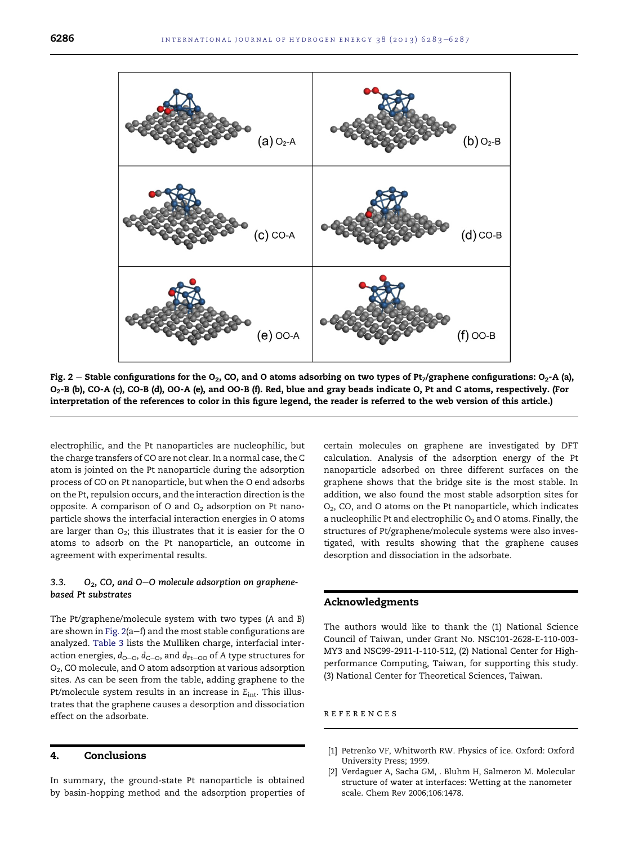<span id="page-3-0"></span>

Fig. 2 - Stable configurations for the O<sub>2</sub>, CO, and O atoms adsorbing on two types of Pt<sub>7</sub>/graphene configurations: O<sub>2</sub>-A (a), O2-B (b), CO-A (c), CO-B (d), OO-A (e), and OO-B (f). Red, blue and gray beads indicate O, Pt and C atoms, respectively. (For interpretation of the references to color in this figure legend, the reader is referred to the web version of this article.)

electrophilic, and the Pt nanoparticles are nucleophilic, but the charge transfers of CO are not clear. In a normal case, the C atom is jointed on the Pt nanoparticle during the adsorption process of CO on Pt nanoparticle, but when the O end adsorbs on the Pt, repulsion occurs, and the interaction direction is the opposite. A comparison of O and  $O<sub>2</sub>$  adsorption on Pt nanoparticle shows the interfacial interaction energies in O atoms are larger than  $O_2$ ; this illustrates that it is easier for the O atoms to adsorb on the Pt nanoparticle, an outcome in agreement with experimental results.

#### 3.3.  $O_2$ , CO, and O-O molecule adsorption on graphenebased Pt substrates

The Pt/graphene/molecule system with two types (A and B) are shown in Fig.  $2(a-f)$  and the most stable configurations are analyzed. [Table 3](#page-2-0) lists the Mulliken charge, interfacial interaction energies,  $d_{O-O}$ ,  $d_{C-O}$ , and  $d_{Pt-OO}$  of A type structures for O2, CO molecule, and O atom adsorption at various adsorption sites. As can be seen from the table, adding graphene to the Pt/molecule system results in an increase in  $E_{int}$ . This illustrates that the graphene causes a desorption and dissociation effect on the adsorbate.

#### 4. Conclusions

In summary, the ground-state Pt nanoparticle is obtained by basin-hopping method and the adsorption properties of certain molecules on graphene are investigated by DFT calculation. Analysis of the adsorption energy of the Pt nanoparticle adsorbed on three different surfaces on the graphene shows that the bridge site is the most stable. In addition, we also found the most stable adsorption sites for  $O<sub>2</sub>$ , CO, and O atoms on the Pt nanoparticle, which indicates a nucleophilic Pt and electrophilic  $O_2$  and O atoms. Finally, the structures of Pt/graphene/molecule systems were also investigated, with results showing that the graphene causes desorption and dissociation in the adsorbate.

#### Acknowledgments

The authors would like to thank the (1) National Science Council of Taiwan, under Grant No. NSC101-2628-E-110-003- MY3 and NSC99-2911-I-110-512, (2) National Center for Highperformance Computing, Taiwan, for supporting this study. (3) National Center for Theoretical Sciences, Taiwan.

#### references

- [1] Petrenko VF, Whitworth RW. Physics of ice. Oxford: Oxford University Press; 1999.
- [2] Verdaguer A, Sacha GM, . Bluhm H, Salmeron M. Molecular structure of water at interfaces: Wetting at the nanometer scale. Chem Rev 2006;106:1478.